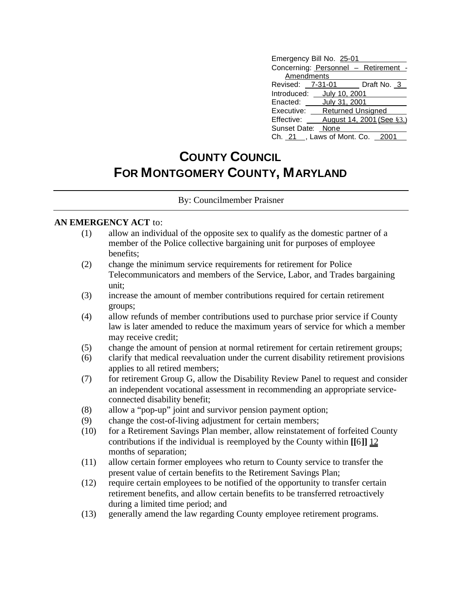| Emergency Bill No. 25-01         |  |                                      |  |  |  |
|----------------------------------|--|--------------------------------------|--|--|--|
|                                  |  | Concerning: Personnel - Retirement - |  |  |  |
| Amendments                       |  |                                      |  |  |  |
|                                  |  | Revised: 7-31-01 Draft No. 3         |  |  |  |
| Introduced: July 10, 2001        |  |                                      |  |  |  |
| Enacted: <b>July 31, 2001</b>    |  |                                      |  |  |  |
| Executive:                       |  | <b>Returned Unsigned</b>             |  |  |  |
| Effective:                       |  | August 14, 2001 (See §3.)            |  |  |  |
| Sunset Date: None                |  |                                      |  |  |  |
| Ch. 21 _, Laws of Mont. Co. 2001 |  |                                      |  |  |  |

## **COUNTY COUNCIL FOR MONTGOMERY COUNTY, MARYLAND**

By: Councilmember Praisner

## **AN EMERGENCY ACT** to:

- (1) allow an individual of the opposite sex to qualify as the domestic partner of a member of the Police collective bargaining unit for purposes of employee benefits;
- (2) change the minimum service requirements for retirement for Police Telecommunicators and members of the Service, Labor, and Trades bargaining unit;
- (3) increase the amount of member contributions required for certain retirement groups;
- (4) allow refunds of member contributions used to purchase prior service if County law is later amended to reduce the maximum years of service for which a member may receive credit;
- (5) change the amount of pension at normal retirement for certain retirement groups;
- (6) clarify that medical reevaluation under the current disability retirement provisions applies to all retired members;
- (7) for retirement Group G, allow the Disability Review Panel to request and consider an independent vocational assessment in recommending an appropriate serviceconnected disability benefit;
- (8) allow a "pop-up" joint and survivor pension payment option;
- (9) change the cost-of-living adjustment for certain members;
- (10) for a Retirement Savings Plan member, allow reinstatement of forfeited County contributions if the individual is reemployed by the County within **[[**6**]]** 12 months of separation;
- (11) allow certain former employees who return to County service to transfer the present value of certain benefits to the Retirement Savings Plan;
- (12) require certain employees to be notified of the opportunity to transfer certain retirement benefits, and allow certain benefits to be transferred retroactively during a limited time period; and
- (13) generally amend the law regarding County employee retirement programs.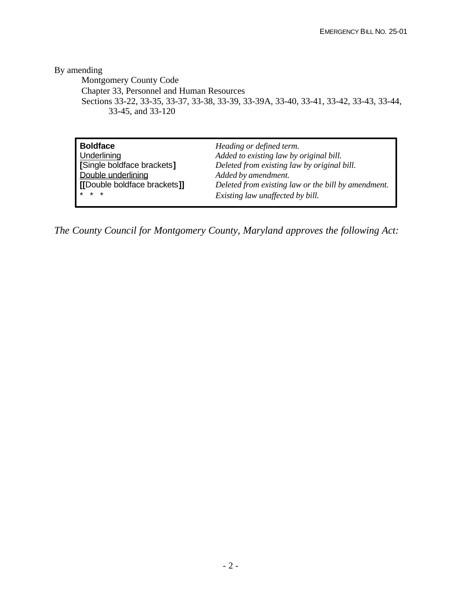By amending

Montgomery County Code Chapter 33, Personnel and Human Resources Sections 33-22, 33-35, 33-37, 33-38, 33-39, 33-39A, 33-40, 33-41, 33-42, 33-43, 33-44, 33-45, and 33-120

| <b>Boldface</b>              | Heading or defined term.                            |
|------------------------------|-----------------------------------------------------|
| Underlining                  | Added to existing law by original bill.             |
| [Single boldface brackets]   | Deleted from existing law by original bill.         |
| Double underlining           | Added by amendment.                                 |
| [[Double boldface brackets]] | Deleted from existing law or the bill by amendment. |
| $* * *$                      | Existing law unaffected by bill.                    |

*The County Council for Montgomery County, Maryland approves the following Act:*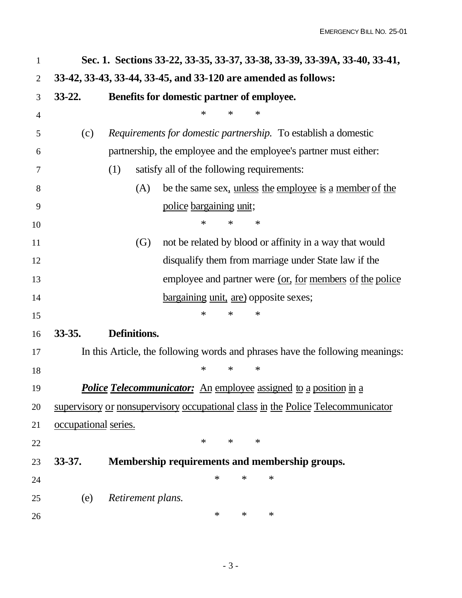|                      | Sec. 1. Sections 33-22, 33-35, 33-37, 33-38, 33-39, 33-39A, 33-40, 33-41,       |
|----------------------|---------------------------------------------------------------------------------|
|                      | 33-42, 33-43, 33-44, 33-45, and 33-120 are amended as follows:                  |
| $33 - 22.$           | Benefits for domestic partner of employee.                                      |
|                      | ∗<br>∗<br>∗                                                                     |
| (c)                  | Requirements for domestic partnership. To establish a domestic                  |
|                      | partnership, the employee and the employee's partner must either:               |
|                      | satisfy all of the following requirements:<br>(1)                               |
|                      | be the same sex, unless the employee is a member of the<br>(A)                  |
|                      | police bargaining unit;                                                         |
|                      | $\ast$<br>∗<br>∗                                                                |
|                      | not be related by blood or affinity in a way that would<br>$\left( G\right)$    |
|                      | disqualify them from marriage under State law if the                            |
|                      | employee and partner were (or, for members of the police                        |
|                      | bargaining unit, are) opposite sexes;                                           |
|                      | $\ast$<br>∗<br>$\ast$                                                           |
| $33 - 35.$           | Definitions.                                                                    |
|                      | In this Article, the following words and phrases have the following meanings:   |
|                      | ∗<br>∗<br>$\ast$                                                                |
|                      | <b>Police Telecommunicator:</b> An employee assigned to a position in a         |
|                      | supervisory or nonsupervisory occupational class in the Police Telecommunicator |
| occupational series. |                                                                                 |
|                      | $\ast$<br>$\ast$<br>$\ast$                                                      |
| $33 - 37.$           | Membership requirements and membership groups.                                  |
|                      | $\ast$<br>$\ast$<br>$\ast$                                                      |
| (e)                  | Retirement plans.                                                               |
|                      | $\ast$<br>$\ast$<br>$\ast$                                                      |
|                      |                                                                                 |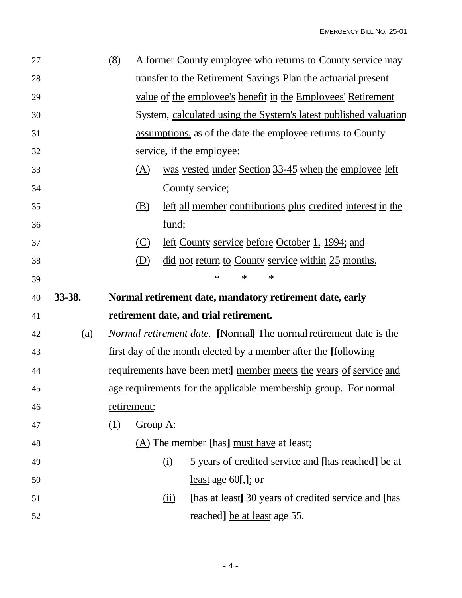| 27 |        | (8) |             | <u>A former County employee who returns to County service may</u>         |
|----|--------|-----|-------------|---------------------------------------------------------------------------|
| 28 |        |     |             | transfer to the Retirement Savings Plan the actuarial present             |
| 29 |        |     |             | <u>value of the employee's benefit in the Employees' Retirement</u>       |
| 30 |        |     |             | System, calculated using the System's latest published valuation          |
| 31 |        |     |             | <u>assumptions, as of the date the employee returns to County</u>         |
| 32 |        |     |             | service, if the employee:                                                 |
| 33 |        |     | <u>(A)</u>  | was vested under Section 33-45 when the employee left                     |
| 34 |        |     |             | County service;                                                           |
| 35 |        |     | (B)         | left all member contributions plus credited interest in the               |
| 36 |        |     |             | fund;                                                                     |
| 37 |        |     | $\circ$     | left County service before October 1, 1994; and                           |
| 38 |        |     | (D)         | <u>did not return to County service within 25 months.</u>                 |
| 39 |        |     |             | ∗<br>∗<br>∗                                                               |
|    |        |     |             |                                                                           |
| 40 | 33-38. |     |             | Normal retirement date, mandatory retirement date, early                  |
| 41 |        |     |             | retirement date, and trial retirement.                                    |
| 42 | (a)    |     |             | <i>Normal retirement date.</i> [Normal] The normal retirement date is the |
| 43 |        |     |             | first day of the month elected by a member after the [following]          |
| 44 |        |     |             | requirements have been met:] member meets the years of service and        |
| 45 |        |     |             | age requirements for the applicable membership group. For normal          |
| 46 |        |     | retirement: |                                                                           |
| 47 |        | (1) | Group A:    |                                                                           |
| 48 |        |     |             | (A) The member [has] <u>must have</u> at least:                           |
| 49 |        |     |             | 5 years of credited service and [has reached] be at<br>(i)                |
| 50 |        |     |             | least age $60$ [,]; or                                                    |
| 51 |        |     |             | [has at least] 30 years of credited service and [has<br>(ii)              |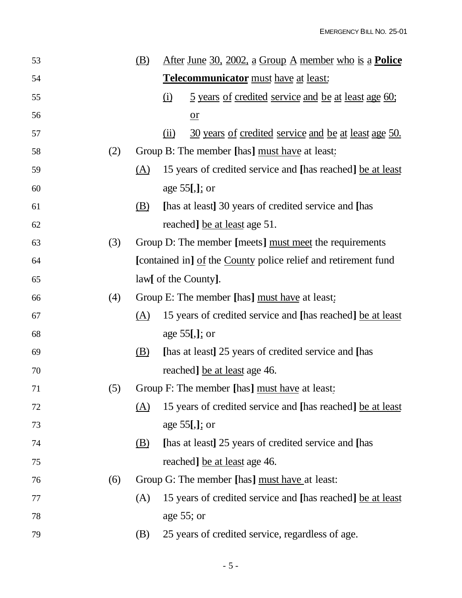| 53 |     | <u>(B)</u> | <u>After June 30, 2002, a Group A member who is a <b>Police</b></u> |
|----|-----|------------|---------------------------------------------------------------------|
| 54 |     |            | <b>Telecommunicator</b> must have at least:                         |
| 55 |     |            | <u>5 years of credited service and be at least age 60;</u><br>(i)   |
| 56 |     |            | $or$                                                                |
| 57 |     |            | 30 years of credited service and be at least age 50.<br>(ii)        |
| 58 | (2) |            | Group B: The member [has] must have at least:                       |
| 59 |     | (A)        | 15 years of credited service and [has reached] be at least          |
| 60 |     |            | age $55$ [,]; or                                                    |
| 61 |     | (B)        | [has at least] 30 years of credited service and [has                |
| 62 |     |            | reached] be at least age 51.                                        |
| 63 | (3) |            | Group D: The member [meets] must meet the requirements              |
| 64 |     |            | [contained in] of the County police relief and retirement fund      |
| 65 |     |            | law[ of the County].                                                |
| 66 | (4) |            | Group E: The member [has] must have at least:                       |
| 67 |     | (A)        | 15 years of credited service and [has reached] be at least          |
| 68 |     |            | age $55$ [,]; or                                                    |
| 69 |     | (B)        | [has at least] 25 years of credited service and [has                |
| 70 |     |            | reached] be at least age 46.                                        |
| 71 | (5) |            | Group F: The member [has] must have at least:                       |
| 72 |     | (A)        | 15 years of credited service and [has reached] be at least          |
| 73 |     |            | age $55$ [,]; or                                                    |
| 74 |     | <u>(B)</u> | [has at least] 25 years of credited service and [has                |
| 75 |     |            | reached] be at least age 46.                                        |
| 76 | (6) |            | Group G: The member [has] must have at least:                       |
| 77 |     | (A)        | 15 years of credited service and [has reached] be at least          |
| 78 |     |            | age $55$ ; or                                                       |
| 79 |     | (B)        | 25 years of credited service, regardless of age.                    |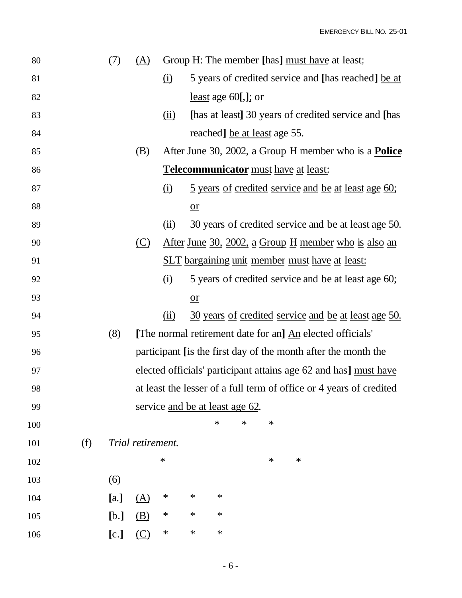| 80  |     | (7)  | (A)               |                                 |        |                            |        |                              | Group H: The member [has] must have at least:                       |  |
|-----|-----|------|-------------------|---------------------------------|--------|----------------------------|--------|------------------------------|---------------------------------------------------------------------|--|
| 81  |     |      |                   | (i)                             |        |                            |        |                              | 5 years of credited service and [has reached] be at                 |  |
| 82  |     |      |                   |                                 |        | <u>least</u> age 60[,]; or |        |                              |                                                                     |  |
| 83  |     |      |                   | $\overline{(\mathbf{ii})}$      |        |                            |        |                              | [has at least] 30 years of credited service and [has                |  |
| 84  |     |      |                   |                                 |        |                            |        | reached] be at least age 55. |                                                                     |  |
| 85  |     |      | <u>(B)</u>        |                                 |        |                            |        |                              | <u>After June 30, 2002, a Group H member who is a <b>Police</b></u> |  |
| 86  |     |      |                   |                                 |        |                            |        |                              | Telecommunicator must have at least:                                |  |
| 87  |     |      |                   | $\Omega$                        |        |                            |        |                              | <u>5 years of credited service and be at least age 60;</u>          |  |
| 88  |     |      |                   |                                 | $or$   |                            |        |                              |                                                                     |  |
| 89  |     |      |                   | (ii)                            |        |                            |        |                              | 30 years of credited service and be at least age 50.                |  |
| 90  |     |      | $\circ$           |                                 |        |                            |        |                              | <u>After June 30, 2002, a Group H member who is also an</u>         |  |
| 91  |     |      |                   |                                 |        |                            |        |                              | <u>SLT bargaining unit member must have at least:</u>               |  |
| 92  |     |      |                   | (i)                             |        |                            |        |                              | <u>5 years of credited service and be at least age 60;</u>          |  |
| 93  |     |      |                   |                                 | $or$   |                            |        |                              |                                                                     |  |
| 94  |     |      |                   | (ii)                            |        |                            |        |                              | 30 years of credited service and be at least age 50.                |  |
| 95  |     | (8)  |                   |                                 |        |                            |        |                              | [The normal retirement date for an] An elected officials'           |  |
| 96  |     |      |                   |                                 |        |                            |        |                              | participant [is the first day of the month after the month the      |  |
| 97  |     |      |                   |                                 |        |                            |        |                              | elected officials' participant attains age 62 and has] must have    |  |
| 98  |     |      |                   |                                 |        |                            |        |                              | at least the lesser of a full term of office or 4 years of credited |  |
| 99  |     |      |                   | service and be at least age 62. |        |                            |        |                              |                                                                     |  |
| 100 |     |      |                   |                                 |        | $\ast$                     | $\ast$ | $\ast$                       |                                                                     |  |
| 101 | (f) |      | Trial retirement. |                                 |        |                            |        |                              |                                                                     |  |
| 102 |     |      |                   | $\ast$                          |        |                            |        | $\ast$                       | ∗                                                                   |  |
| 103 |     | (6)  |                   |                                 |        |                            |        |                              |                                                                     |  |
| 104 |     | [a.] | <u>(A)</u>        | ∗                               | ∗      | ∗                          |        |                              |                                                                     |  |
| 105 |     | [b.] | (B)               | ∗                               | $\ast$ | ∗                          |        |                              |                                                                     |  |
| 106 |     | [c.] | $\circ$           | $\ast$                          | $\ast$ | $\ast$                     |        |                              |                                                                     |  |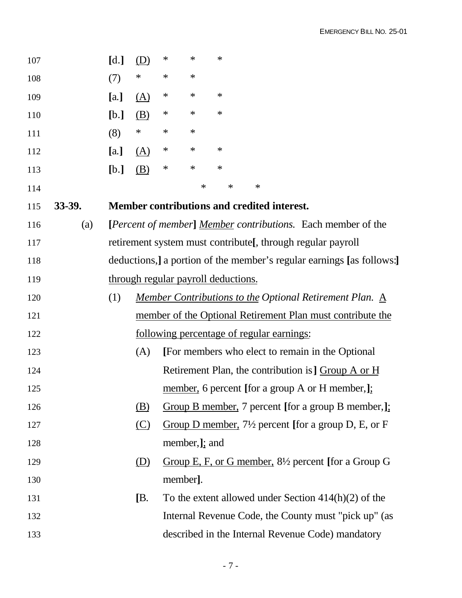|        | [d.] | (D)        | $\ast$ | $\ast$ | $\ast$  |                |                                               |  |                                                                                                 |  |                                                              |                                                                                                                                                                                                                                                                                                                                                                                                                                                                                                                                                                                                                                                                                                                                                                                                               |
|--------|------|------------|--------|--------|---------|----------------|-----------------------------------------------|--|-------------------------------------------------------------------------------------------------|--|--------------------------------------------------------------|---------------------------------------------------------------------------------------------------------------------------------------------------------------------------------------------------------------------------------------------------------------------------------------------------------------------------------------------------------------------------------------------------------------------------------------------------------------------------------------------------------------------------------------------------------------------------------------------------------------------------------------------------------------------------------------------------------------------------------------------------------------------------------------------------------------|
|        | (7)  | $\ast$     | $\ast$ | $\ast$ |         |                |                                               |  |                                                                                                 |  |                                                              |                                                                                                                                                                                                                                                                                                                                                                                                                                                                                                                                                                                                                                                                                                                                                                                                               |
|        | [a.] | $\Delta$   | $\ast$ | $\ast$ | $\ast$  |                |                                               |  |                                                                                                 |  |                                                              |                                                                                                                                                                                                                                                                                                                                                                                                                                                                                                                                                                                                                                                                                                                                                                                                               |
|        | [b.] | <u>(B)</u> | $\ast$ | $\ast$ | $\ast$  |                |                                               |  |                                                                                                 |  |                                                              |                                                                                                                                                                                                                                                                                                                                                                                                                                                                                                                                                                                                                                                                                                                                                                                                               |
|        | (8)  | $\ast$     | $\ast$ | $\ast$ |         |                |                                               |  |                                                                                                 |  |                                                              |                                                                                                                                                                                                                                                                                                                                                                                                                                                                                                                                                                                                                                                                                                                                                                                                               |
|        | [a.] | <u>(A)</u> | $\ast$ | $\ast$ | $\ast$  |                |                                               |  |                                                                                                 |  |                                                              |                                                                                                                                                                                                                                                                                                                                                                                                                                                                                                                                                                                                                                                                                                                                                                                                               |
|        | [b.] | <u>(B)</u> | $\ast$ | $\ast$ | $\ast$  |                |                                               |  |                                                                                                 |  |                                                              |                                                                                                                                                                                                                                                                                                                                                                                                                                                                                                                                                                                                                                                                                                                                                                                                               |
|        |      |            |        | $\ast$ | $\ast$  |                |                                               |  |                                                                                                 |  |                                                              |                                                                                                                                                                                                                                                                                                                                                                                                                                                                                                                                                                                                                                                                                                                                                                                                               |
| 33-39. |      |            |        |        |         |                |                                               |  |                                                                                                 |  |                                                              |                                                                                                                                                                                                                                                                                                                                                                                                                                                                                                                                                                                                                                                                                                                                                                                                               |
| (a)    |      |            |        |        |         |                |                                               |  |                                                                                                 |  |                                                              |                                                                                                                                                                                                                                                                                                                                                                                                                                                                                                                                                                                                                                                                                                                                                                                                               |
|        |      |            |        |        |         |                |                                               |  |                                                                                                 |  |                                                              |                                                                                                                                                                                                                                                                                                                                                                                                                                                                                                                                                                                                                                                                                                                                                                                                               |
|        |      |            |        |        |         |                |                                               |  |                                                                                                 |  |                                                              |                                                                                                                                                                                                                                                                                                                                                                                                                                                                                                                                                                                                                                                                                                                                                                                                               |
|        |      |            |        |        |         |                |                                               |  |                                                                                                 |  |                                                              |                                                                                                                                                                                                                                                                                                                                                                                                                                                                                                                                                                                                                                                                                                                                                                                                               |
|        | (1)  |            |        |        |         |                |                                               |  |                                                                                                 |  |                                                              |                                                                                                                                                                                                                                                                                                                                                                                                                                                                                                                                                                                                                                                                                                                                                                                                               |
|        |      |            |        |        |         |                |                                               |  |                                                                                                 |  |                                                              |                                                                                                                                                                                                                                                                                                                                                                                                                                                                                                                                                                                                                                                                                                                                                                                                               |
|        |      |            |        |        |         |                |                                               |  |                                                                                                 |  |                                                              |                                                                                                                                                                                                                                                                                                                                                                                                                                                                                                                                                                                                                                                                                                                                                                                                               |
|        |      | (A)        |        |        |         |                |                                               |  |                                                                                                 |  |                                                              |                                                                                                                                                                                                                                                                                                                                                                                                                                                                                                                                                                                                                                                                                                                                                                                                               |
|        |      |            |        |        |         |                |                                               |  |                                                                                                 |  |                                                              |                                                                                                                                                                                                                                                                                                                                                                                                                                                                                                                                                                                                                                                                                                                                                                                                               |
|        |      |            |        |        |         |                |                                               |  |                                                                                                 |  |                                                              |                                                                                                                                                                                                                                                                                                                                                                                                                                                                                                                                                                                                                                                                                                                                                                                                               |
|        |      | (B)        |        |        |         |                |                                               |  |                                                                                                 |  |                                                              |                                                                                                                                                                                                                                                                                                                                                                                                                                                                                                                                                                                                                                                                                                                                                                                                               |
|        |      | $\circ$    |        |        |         |                |                                               |  |                                                                                                 |  |                                                              |                                                                                                                                                                                                                                                                                                                                                                                                                                                                                                                                                                                                                                                                                                                                                                                                               |
|        |      |            |        |        |         |                |                                               |  |                                                                                                 |  |                                                              |                                                                                                                                                                                                                                                                                                                                                                                                                                                                                                                                                                                                                                                                                                                                                                                                               |
|        |      | <u>(D)</u> |        |        |         |                |                                               |  |                                                                                                 |  |                                                              |                                                                                                                                                                                                                                                                                                                                                                                                                                                                                                                                                                                                                                                                                                                                                                                                               |
|        |      |            |        |        |         |                |                                               |  |                                                                                                 |  |                                                              |                                                                                                                                                                                                                                                                                                                                                                                                                                                                                                                                                                                                                                                                                                                                                                                                               |
|        |      | [B.        |        |        |         |                |                                               |  |                                                                                                 |  |                                                              |                                                                                                                                                                                                                                                                                                                                                                                                                                                                                                                                                                                                                                                                                                                                                                                                               |
|        |      |            |        |        |         |                |                                               |  |                                                                                                 |  |                                                              |                                                                                                                                                                                                                                                                                                                                                                                                                                                                                                                                                                                                                                                                                                                                                                                                               |
|        |      |            |        |        |         |                |                                               |  |                                                                                                 |  |                                                              |                                                                                                                                                                                                                                                                                                                                                                                                                                                                                                                                                                                                                                                                                                                                                                                                               |
|        |      |            |        |        | member. | member, ]; and | $\ast$<br>through regular payroll deductions. |  | Member contributions and credited interest.<br><u>following percentage of regular earnings:</u> |  | retirement system must contribute [, through regular payroll | [ <i>Percent of member</i> ] <i>Member contributions</i> . Each member of the<br>deductions, a portion of the member's regular earnings [as follows:]<br>Member Contributions to the Optional Retirement Plan. A<br>member of the Optional Retirement Plan must contribute the<br>[For members who elect to remain in the Optional<br>Retirement Plan, the contribution is ] Group A or H<br>member, 6 percent [for a group A or H member,];<br>Group B member, 7 percent [for a group B member,];<br>Group D member, $7\frac{1}{2}$ percent [for a group D, E, or F<br>Group E, F, or G member, $8\frac{1}{2}$ percent [for a Group G<br>To the extent allowed under Section $414(h)(2)$ of the<br>Internal Revenue Code, the County must "pick up" (as<br>described in the Internal Revenue Code) mandatory |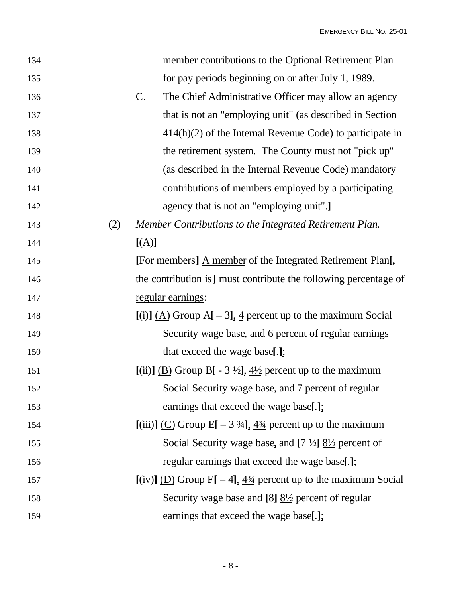| 134 |     | member contributions to the Optional Retirement Plan                                        |
|-----|-----|---------------------------------------------------------------------------------------------|
| 135 |     | for pay periods beginning on or after July 1, 1989.                                         |
| 136 |     | $\mathcal{C}$ .<br>The Chief Administrative Officer may allow an agency                     |
| 137 |     | that is not an "employing unit" (as described in Section                                    |
| 138 |     | $414(h)(2)$ of the Internal Revenue Code) to participate in                                 |
| 139 |     | the retirement system. The County must not "pick up"                                        |
| 140 |     | (as described in the Internal Revenue Code) mandatory                                       |
| 141 |     | contributions of members employed by a participating                                        |
| 142 |     | agency that is not an "employing unit".]                                                    |
| 143 | (2) | <b>Member Contributions to the Integrated Retirement Plan.</b>                              |
| 144 |     | [(A)]                                                                                       |
| 145 |     | [For members] A member of the Integrated Retirement Plan[,                                  |
| 146 |     | the contribution is ] must contribute the following percentage of                           |
| 147 |     | regular earnings:                                                                           |
|     |     | [(i)] $(A)$ Group A[ - 3], 4 percent up to the maximum Social                               |
| 148 |     |                                                                                             |
| 149 |     | Security wage base, and 6 percent of regular earnings                                       |
| 150 |     | that exceed the wage base[.];                                                               |
| 151 |     | [(ii)] (B) Group B[ - 3 $\frac{1}{2}$ ], $\frac{4\frac{1}{2}}{2}$ percent up to the maximum |
| 152 |     | Social Security wage base, and 7 percent of regular                                         |
| 153 |     | earnings that exceed the wage base[.];                                                      |
| 154 |     | [(iii)] (C) Group E[ $-3\frac{3}{4}$ ], $\frac{4\frac{3}{4}}{2}$ percent up to the maximum  |
| 155 |     | Social Security wage base, and $[7 \frac{1}{2}]$ $\frac{81}{2}$ percent of                  |
| 156 |     | regular earnings that exceed the wage base[.];                                              |
| 157 |     | $[(iv)]$ (D) Group F[ - 4], $4\frac{3}{4}$ percent up to the maximum Social                 |
| 158 |     | Security wage base and $[8]$ $\underline{8!}/2$ percent of regular                          |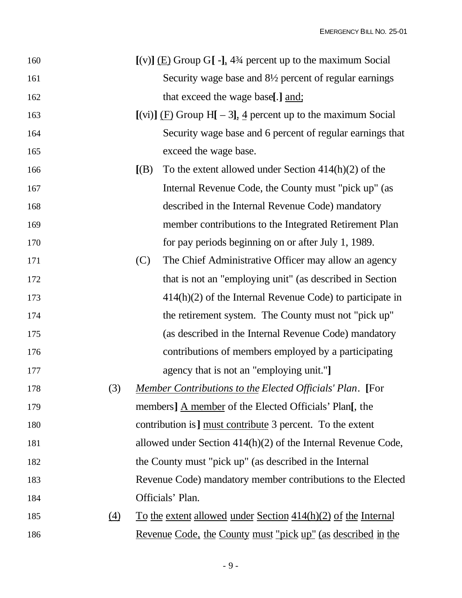| 160 |                  |       | $[(v)]$ (E) Group G[ -], 4 <sup>3</sup> /4 percent up to the maximum Social |
|-----|------------------|-------|-----------------------------------------------------------------------------|
| 161 |                  |       | Security wage base and 8½ percent of regular earnings                       |
| 162 |                  |       | that exceed the wage base[.] and;                                           |
| 163 |                  |       | [(vi)] $(F)$ Group H[ - 3], 4 percent up to the maximum Social              |
| 164 |                  |       | Security wage base and 6 percent of regular earnings that                   |
| 165 |                  |       | exceed the wage base.                                                       |
| 166 |                  | [(B)] | To the extent allowed under Section $414(h)(2)$ of the                      |
| 167 |                  |       | Internal Revenue Code, the County must "pick up" (as                        |
| 168 |                  |       | described in the Internal Revenue Code) mandatory                           |
| 169 |                  |       | member contributions to the Integrated Retirement Plan                      |
| 170 |                  |       | for pay periods beginning on or after July 1, 1989.                         |
| 171 |                  | (C)   | The Chief Administrative Officer may allow an agency                        |
| 172 |                  |       | that is not an "employing unit" (as described in Section                    |
| 173 |                  |       | $414(h)(2)$ of the Internal Revenue Code) to participate in                 |
| 174 |                  |       | the retirement system. The County must not "pick up"                        |
| 175 |                  |       | (as described in the Internal Revenue Code) mandatory                       |
| 176 |                  |       | contributions of members employed by a participating                        |
| 177 |                  |       | agency that is not an "employing unit."]                                    |
| 178 | (3)              |       | <b>Member Contributions to the Elected Officials' Plan.</b> [For            |
| 179 |                  |       | members] A member of the Elected Officials' Plan[, the                      |
| 180 |                  |       | contribution is ] must contribute 3 percent. To the extent                  |
| 181 |                  |       | allowed under Section $414(h)(2)$ of the Internal Revenue Code,             |
| 182 |                  |       | the County must "pick up" (as described in the Internal                     |
| 183 |                  |       | Revenue Code) mandatory member contributions to the Elected                 |
| 184 |                  |       | Officials' Plan.                                                            |
| 185 | $\left(4\right)$ |       | To the extent allowed under Section $414(h)(2)$ of the Internal             |
| 186 |                  |       | <u>Revenue Code, the County must "pick up" (as described in the </u>        |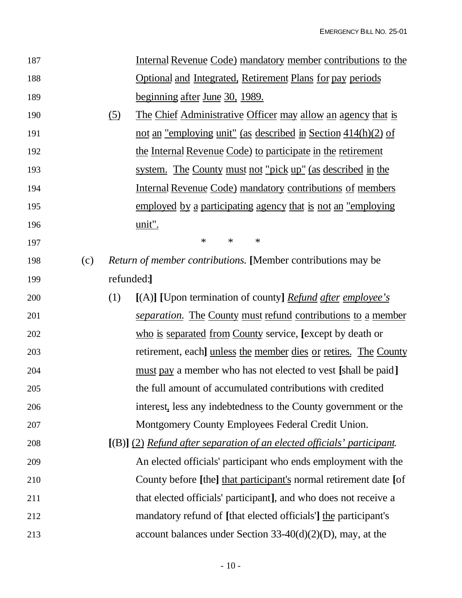| 187 |     |            | <u>Internal Revenue Code) mandatory member contributions to the</u>     |
|-----|-----|------------|-------------------------------------------------------------------------|
| 188 |     |            | <b>Optional and Integrated, Retirement Plans for pay periods</b>        |
| 189 |     |            | <u>beginning after June 30, 1989.</u>                                   |
| 190 |     | <u>(5)</u> | <u>The Chief Administrative Officer may allow an agency that is</u>     |
| 191 |     |            | not an "employing unit" (as described in Section 414(h)(2) of           |
| 192 |     |            | the Internal Revenue Code) to participate in the retirement             |
| 193 |     |            | <u>system. The County must not "pick up" (as described in the</u>       |
| 194 |     |            | <u>Internal Revenue Code) mandatory contributions of members</u>        |
| 195 |     |            | employed by a participating agency that is not an "employing"           |
| 196 |     |            | unit".                                                                  |
| 197 |     |            | ∗<br>$\ast$<br>$\ast$                                                   |
| 198 | (c) |            | Return of member contributions. [Member contributions may be            |
| 199 |     | refunded:  |                                                                         |
| 200 |     | (1)        | [(A)] [Upon termination of county] <i>Refund after employee's</i>       |
| 201 |     |            | <i>separation.</i> The County must refund contributions to a member     |
| 202 |     |            | who is separated from County service, [except by death or               |
| 203 |     |            | retirement, each] unless the member dies or retires. The County         |
| 204 |     |            | must pay a member who has not elected to vest [shall be paid]           |
| 205 |     |            | the full amount of accumulated contributions with credited              |
| 206 |     |            | interest, less any indebtedness to the County government or the         |
| 207 |     |            | Montgomery County Employees Federal Credit Union.                       |
| 208 |     |            | [(B)] (2) Refund after separation of an elected officials' participant. |
| 209 |     |            | An elected officials' participant who ends employment with the          |
| 210 |     |            | County before [the] that participant's normal retirement date [of       |
| 211 |     |            | that elected officials' participant], and who does not receive a        |
| 212 |     |            | mandatory refund of [that elected officials] the participant's          |
| 213 |     |            | account balances under Section $33-40(d)(2)(D)$ , may, at the           |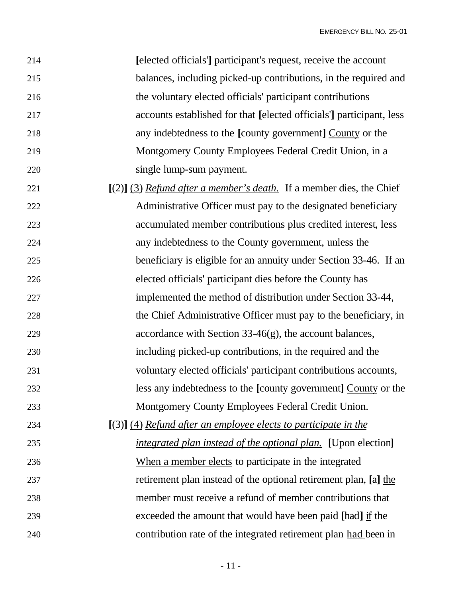| 214 | [elected officials] participant's request, receive the account               |
|-----|------------------------------------------------------------------------------|
| 215 | balances, including picked-up contributions, in the required and             |
| 216 | the voluntary elected officials' participant contributions                   |
| 217 | accounts established for that [elected officials] participant, less          |
| 218 | any indebtedness to the [county government] County or the                    |
| 219 | Montgomery County Employees Federal Credit Union, in a                       |
| 220 | single lump-sum payment.                                                     |
| 221 | $[2]$ (3) <i>Refund after a member's death</i> . If a member dies, the Chief |
| 222 | Administrative Officer must pay to the designated beneficiary                |
| 223 | accumulated member contributions plus credited interest, less                |
| 224 | any indebtedness to the County government, unless the                        |
| 225 | beneficiary is eligible for an annuity under Section 33-46. If an            |
| 226 | elected officials' participant dies before the County has                    |
| 227 | implemented the method of distribution under Section 33-44,                  |
| 228 | the Chief Administrative Officer must pay to the beneficiary, in             |
| 229 | accordance with Section 33-46(g), the account balances,                      |
| 230 | including picked-up contributions, in the required and the                   |
| 231 | voluntary elected officials' participant contributions accounts,             |
| 232 | less any indebtedness to the [county government] County or the               |
| 233 | Montgomery County Employees Federal Credit Union.                            |
| 234 | $[(3)]$ (4) Refund after an employee elects to participate in the            |
| 235 | <i>integrated plan instead of the optional plan.</i> [Upon election]         |
| 236 | When a member elects to participate in the integrated                        |
| 237 | retirement plan instead of the optional retirement plan, [a] the             |
| 238 | member must receive a refund of member contributions that                    |
| 239 | exceeded the amount that would have been paid [had] if the                   |
| 240 | contribution rate of the integrated retirement plan had been in              |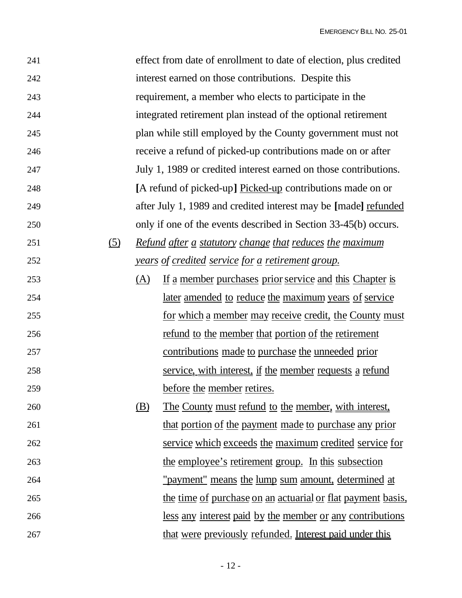| 241 |            |     | effect from date of enrollment to date of election, plus credited |
|-----|------------|-----|-------------------------------------------------------------------|
| 242 |            |     | interest earned on those contributions. Despite this              |
| 243 |            |     | requirement, a member who elects to participate in the            |
| 244 |            |     | integrated retirement plan instead of the optional retirement     |
| 245 |            |     | plan while still employed by the County government must not       |
| 246 |            |     | receive a refund of picked-up contributions made on or after      |
| 247 |            |     | July 1, 1989 or credited interest earned on those contributions.  |
| 248 |            |     | [A refund of picked-up] Picked-up contributions made on or        |
| 249 |            |     | after July 1, 1989 and credited interest may be [made] refunded   |
| 250 |            |     | only if one of the events described in Section 33-45(b) occurs.   |
| 251 | <u>(5)</u> |     | <u>Refund after a statutory change that reduces the maximum</u>   |
| 252 |            |     | years of credited service for a retirement group.                 |
| 253 |            | (A) | If a member purchases prior service and this Chapter is           |
| 254 |            |     | later amended to reduce the maximum years of service              |
| 255 |            |     | for which a member may receive credit, the County must            |
| 256 |            |     | refund to the member that portion of the retirement               |
| 257 |            |     | contributions made to purchase the unneeded prior                 |
| 258 |            |     | service, with interest, if the member requests a refund           |
| 259 |            |     | before the member retires.                                        |
| 260 |            | (B) | <u>The County must refund to the member, with interest,</u>       |
| 261 |            |     | that portion of the payment made to purchase any prior            |
| 262 |            |     | service which exceeds the maximum credited service for            |
| 263 |            |     | the employee's retirement group. In this subsection               |
| 264 |            |     | <u>"payment" means the lump sum amount, determined at</u>         |
| 265 |            |     | the time of purchase on an actuarial or flat payment basis,       |
| 266 |            |     | less any interest paid by the member or any contributions         |
| 267 |            |     | that were previously refunded. Interest paid under this           |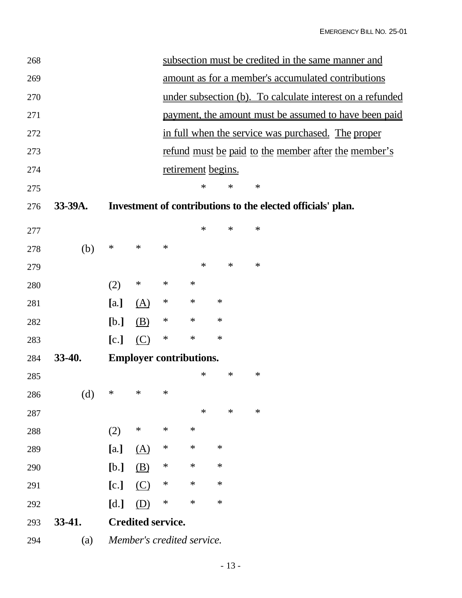| 268 |         |        |                          |        |                                |        | subsection must be credited in the same manner and          |  |
|-----|---------|--------|--------------------------|--------|--------------------------------|--------|-------------------------------------------------------------|--|
| 269 |         |        |                          |        |                                |        | amount as for a member's accumulated contributions          |  |
| 270 |         |        |                          |        |                                |        | under subsection (b). To calculate interest on a refunded   |  |
| 271 |         |        |                          |        |                                |        | payment, the amount must be assumed to have been paid       |  |
| 272 |         |        |                          |        |                                |        | in full when the service was purchased. The proper          |  |
| 273 |         |        |                          |        |                                |        | refund must be paid to the member after the member's        |  |
| 274 |         |        |                          |        | retirement begins.             |        |                                                             |  |
| 275 |         |        |                          |        | $\ast$                         | $\ast$ | $\ast$                                                      |  |
| 276 | 33-39A. |        |                          |        |                                |        | Investment of contributions to the elected officials' plan. |  |
| 277 |         |        |                          |        | $\ast$                         | $\ast$ | $\ast$                                                      |  |
| 278 | (b)     | $\ast$ | $\ast$                   | $\ast$ |                                |        |                                                             |  |
| 279 |         |        |                          |        | $\ast$                         | $\ast$ | ∗                                                           |  |
| 280 |         | (2)    | $\ast$                   | $\ast$ | $\ast$                         |        |                                                             |  |
| 281 |         | [a.]   | $\Delta$                 | ∗      | $\ast$                         | $\ast$ |                                                             |  |
| 282 |         | [b.]   | (B)                      | ∗      | $\ast$                         | $\ast$ |                                                             |  |
| 283 |         | [c.]   | (C)                      | $\ast$ | $\ast$                         | $\ast$ |                                                             |  |
| 284 | 33-40.  |        |                          |        | <b>Employer contributions.</b> |        |                                                             |  |
| 285 |         |        |                          |        | ∗                              | ∗      | $\ast$                                                      |  |
| 286 | (d)     | ∗      | $\ast$                   | $\ast$ |                                |        |                                                             |  |
| 287 |         |        |                          |        | $\ast$                         | $\ast$ | ∗                                                           |  |
| 288 |         | (2)    | $\ast$                   | $\ast$ | $\ast$                         |        |                                                             |  |
| 289 |         | [a.]   | <u>(A)</u>               | ∗      | $\ast$                         | $\ast$ |                                                             |  |
| 290 |         | [b.]   | (B)                      | ∗      | $\ast$                         | $\ast$ |                                                             |  |
| 291 |         | [c.]   | $\circ$                  | ∗      | ∗                              | ∗      |                                                             |  |
| 292 |         | [d.]   | (D)                      | $\ast$ | $\ast$                         | $\ast$ |                                                             |  |
| 293 | 33-41.  |        | <b>Credited service.</b> |        |                                |        |                                                             |  |
| 294 | (a)     |        |                          |        | Member's credited service.     |        |                                                             |  |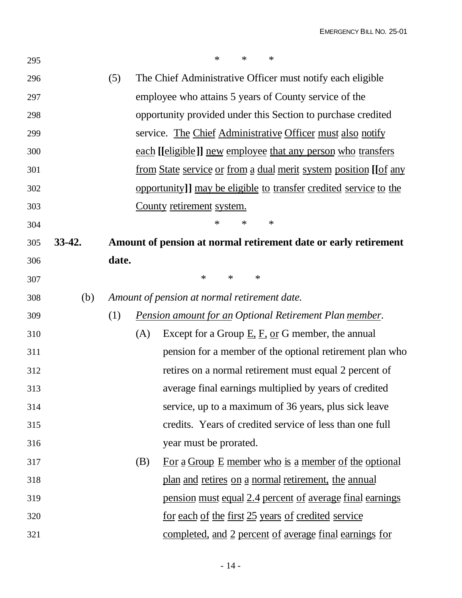| 295 |        |       |     | $\ast$<br>$\ast$<br>$\ast$                                                     |
|-----|--------|-------|-----|--------------------------------------------------------------------------------|
| 296 |        | (5)   |     | The Chief Administrative Officer must notify each eligible                     |
| 297 |        |       |     | employee who attains 5 years of County service of the                          |
| 298 |        |       |     | opportunity provided under this Section to purchase credited                   |
| 299 |        |       |     | service. The Chief Administrative Officer must also notify                     |
| 300 |        |       |     | each [[eligible]] new employee that any person who transfers                   |
| 301 |        |       |     | <u>from State service or from a dual merit system position [[of any</u>        |
| 302 |        |       |     | opportunity]] may be eligible to transfer credited service to the              |
| 303 |        |       |     | County retirement system.                                                      |
| 304 |        |       |     | ∗<br>∗<br>∗                                                                    |
| 305 | 33-42. |       |     | Amount of pension at normal retirement date or early retirement                |
| 306 |        | date. |     |                                                                                |
| 307 |        |       |     | $\ast$<br>∗<br>∗                                                               |
| 308 | (b)    |       |     | Amount of pension at normal retirement date.                                   |
| 309 |        | (1)   |     | <b>Pension amount for an Optional Retirement Plan member.</b>                  |
| 310 |        |       | (A) | Except for a Group $\underline{E}$ , $\underline{F}$ , or G member, the annual |
| 311 |        |       |     | pension for a member of the optional retirement plan who                       |
| 312 |        |       |     | retires on a normal retirement must equal 2 percent of                         |
| 313 |        |       |     | average final earnings multiplied by years of credited                         |
| 314 |        |       |     | service, up to a maximum of 36 years, plus sick leave                          |
| 315 |        |       |     | credits. Years of credited service of less than one full                       |
| 316 |        |       |     | year must be prorated.                                                         |
| 317 |        |       | (B) | For a Group E member who is a member of the optional                           |
| 318 |        |       |     | plan and retires on a normal retirement, the annual                            |
| 319 |        |       |     | pension must equal 2.4 percent of average final earnings                       |
| 320 |        |       |     | for each of the first 25 years of credited service                             |
| 321 |        |       |     | completed, and 2 percent of average final earnings for                         |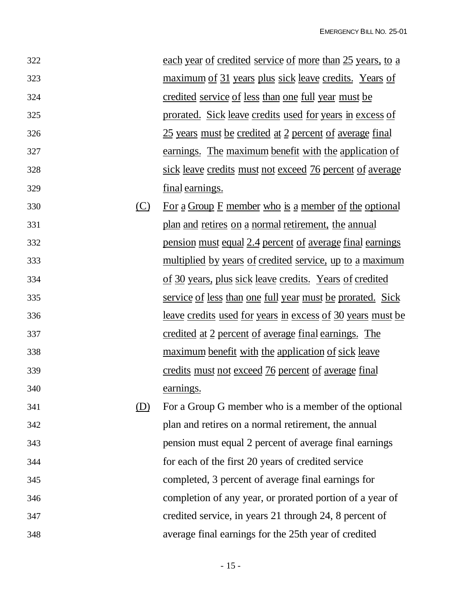| 322 |         | each year of credited service of more than 25 years, to a         |
|-----|---------|-------------------------------------------------------------------|
| 323 |         | <u>maximum of 31 years plus sick leave credits. Years of</u>      |
| 324 |         | credited service of less than one full year must be               |
| 325 |         | <u>prorated. Sick leave credits used for years in excess of</u>   |
| 326 |         | 25 years must be credited at 2 percent of average final           |
| 327 |         | earnings. The maximum benefit with the application of             |
| 328 |         | sick leave credits must not exceed 76 percent of average          |
| 329 |         | <u>final</u> earnings.                                            |
| 330 | $\circ$ | For a Group $F$ member who is a member of the optional            |
| 331 |         | plan and retires on a normal retirement, the annual               |
| 332 |         | pension must equal 2.4 percent of average final earnings          |
| 333 |         | <u>multiplied by years of credited service, up to a maximum</u>   |
| 334 |         | of 30 years, plus sick leave credits. Years of credited           |
| 335 |         | <u>service of less than one full year must be prorated. Sick</u>  |
| 336 |         | <u>leave credits used for years in excess of 30 years must be</u> |
| 337 |         | <u>credited at 2 percent of average final earnings. The</u>       |
| 338 |         | <u>maximum benefit with the application of sick leave</u>         |
| 339 |         | credits must not exceed 76 percent of average final               |
| 340 |         | earnings.                                                         |
| 341 | (D)     | For a Group G member who is a member of the optional              |
| 342 |         | plan and retires on a normal retirement, the annual               |
| 343 |         | pension must equal 2 percent of average final earnings            |
| 344 |         | for each of the first 20 years of credited service                |
| 345 |         | completed, 3 percent of average final earnings for                |
| 346 |         | completion of any year, or prorated portion of a year of          |
| 347 |         | credited service, in years 21 through 24, 8 percent of            |
| 348 |         | average final earnings for the 25th year of credited              |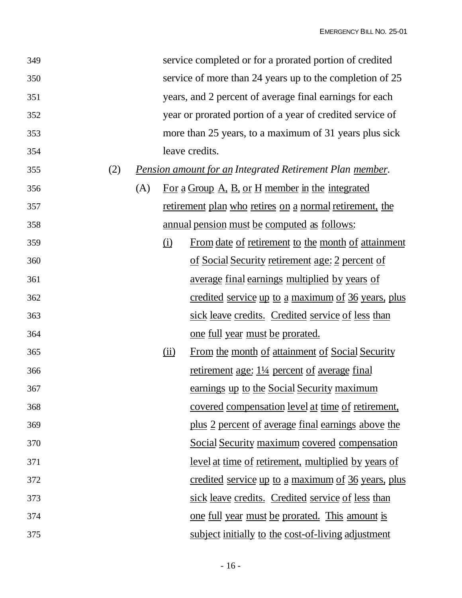| 349 |     |     |                            | service completed or for a prorated portion of credited         |
|-----|-----|-----|----------------------------|-----------------------------------------------------------------|
| 350 |     |     |                            | service of more than 24 years up to the completion of 25        |
| 351 |     |     |                            | years, and 2 percent of average final earnings for each         |
| 352 |     |     |                            | year or prorated portion of a year of credited service of       |
| 353 |     |     |                            | more than 25 years, to a maximum of 31 years plus sick          |
| 354 |     |     |                            | leave credits.                                                  |
| 355 | (2) |     |                            | <b>Pension amount for an Integrated Retirement Plan member.</b> |
| 356 |     | (A) |                            | For a Group A, B, or H member in the integrated                 |
| 357 |     |     |                            | <u>retirement plan who retires on a normal retirement, the</u>  |
| 358 |     |     |                            | <u>annual pension must be computed as follows:</u>              |
| 359 |     |     | <u>(i)</u>                 | From date of retirement to the month of attainment              |
| 360 |     |     |                            | of Social Security retirement age: 2 percent of                 |
| 361 |     |     |                            | <u>average final earnings multiplied by years of</u>            |
| 362 |     |     |                            | credited service up to a maximum of 36 years, plus              |
| 363 |     |     |                            | sick leave credits. Credited service of less than               |
| 364 |     |     |                            | <u>one full year must be prorated.</u>                          |
| 365 |     |     | $\overline{(\mathbf{ii})}$ | From the month of attainment of Social Security                 |
| 366 |     |     |                            | retirement age: 11/4 percent of average final                   |
| 367 |     |     |                            | earnings up to the Social Security maximum                      |
| 368 |     |     |                            | covered compensation level at time of retirement,               |
| 369 |     |     |                            | plus 2 percent of average final earnings above the              |
| 370 |     |     |                            | Social Security maximum covered compensation                    |
| 371 |     |     |                            | <u>level at time of retirement, multiplied by years of</u>      |
| 372 |     |     |                            | credited service up to a maximum of 36 years, plus              |
| 373 |     |     |                            | sick leave credits. Credited service of less than               |
| 374 |     |     |                            | <u>one full year must be prorated. This amount is</u>           |
| 375 |     |     |                            | subject initially to the cost-of-living adjustment              |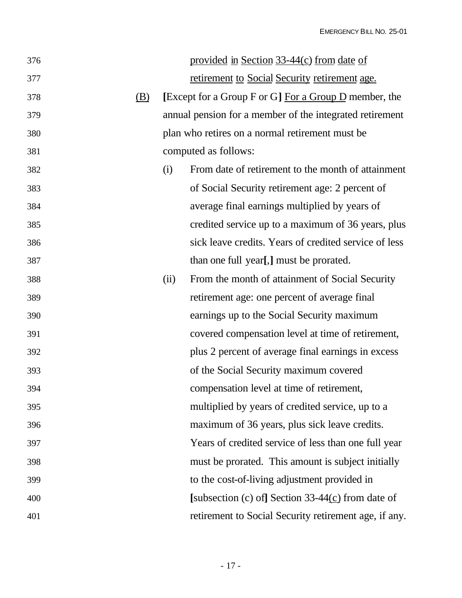| 376 |            |      | provided in Section 33-44(c) from date of                |
|-----|------------|------|----------------------------------------------------------|
| 377 |            |      | retirement to Social Security retirement age.            |
| 378 | <u>(B)</u> |      | [Except for a Group F or G] For a Group $D$ member, the  |
| 379 |            |      | annual pension for a member of the integrated retirement |
| 380 |            |      | plan who retires on a normal retirement must be          |
| 381 |            |      | computed as follows:                                     |
| 382 |            | (i)  | From date of retirement to the month of attainment       |
| 383 |            |      | of Social Security retirement age: 2 percent of          |
| 384 |            |      | average final earnings multiplied by years of            |
| 385 |            |      | credited service up to a maximum of 36 years, plus       |
| 386 |            |      | sick leave credits. Years of credited service of less    |
| 387 |            |      | than one full year[,] must be prorated.                  |
| 388 |            | (ii) | From the month of attainment of Social Security          |
| 389 |            |      | retirement age: one percent of average final             |
| 390 |            |      | earnings up to the Social Security maximum               |
| 391 |            |      | covered compensation level at time of retirement,        |
| 392 |            |      | plus 2 percent of average final earnings in excess       |
| 393 |            |      | of the Social Security maximum covered                   |
| 394 |            |      | compensation level at time of retirement,                |
| 395 |            |      | multiplied by years of credited service, up to a         |
| 396 |            |      | maximum of 36 years, plus sick leave credits.            |
| 397 |            |      | Years of credited service of less than one full year     |
| 398 |            |      | must be prorated. This amount is subject initially       |
| 399 |            |      | to the cost-of-living adjustment provided in             |
| 400 |            |      | [subsection $(c)$ of] Section 33-44 $(c)$ from date of   |
| 401 |            |      | retirement to Social Security retirement age, if any.    |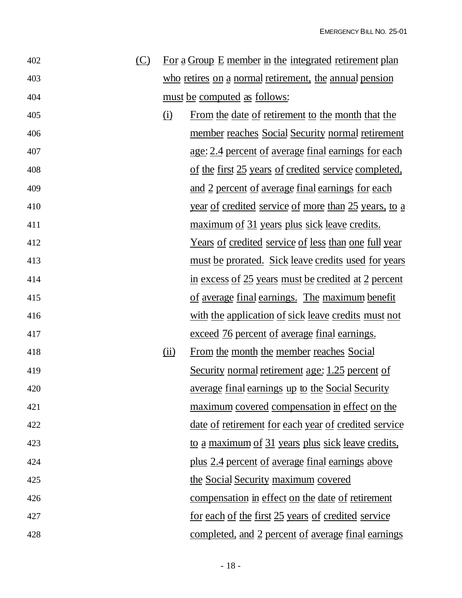| 402 | $\circ$ |                            | For a Group E member in the integrated retirement plan      |
|-----|---------|----------------------------|-------------------------------------------------------------|
| 403 |         |                            | who retires on a normal retirement, the annual pension      |
| 404 |         |                            | must be computed as follows:                                |
| 405 |         | $\Omega$                   | From the date of retirement to the month that the           |
| 406 |         |                            | member reaches Social Security normal retirement            |
| 407 |         |                            | <u>age: 2.4 percent of average final earnings for each</u>  |
| 408 |         |                            | of the first 25 years of credited service completed,        |
| 409 |         |                            | and 2 percent of average final earnings for each            |
| 410 |         |                            | <u>year of credited service of more than 25 years, to a</u> |
| 411 |         |                            | maximum of 31 years plus sick leave credits.                |
| 412 |         |                            | <u>Years of credited service of less than one full year</u> |
| 413 |         |                            | <u>must be prorated. Sick leave credits used for years</u>  |
| 414 |         |                            | in excess of 25 years must be credited at 2 percent         |
| 415 |         |                            | of average final earnings. The maximum benefit              |
| 416 |         |                            | with the application of sick leave credits must not         |
| 417 |         |                            | <u>exceed 76 percent of average final earnings.</u>         |
| 418 |         | $\overline{(\mathbf{ii})}$ | From the month the member reaches Social                    |
| 419 |         |                            | Security normal retirement age: 1.25 percent of             |
| 420 |         |                            | average final earnings up to the Social Security            |
| 421 |         |                            | <u>maximum</u> covered compensation in effect on the        |
| 422 |         |                            | <u>date of retirement for each year of credited service</u> |
| 423 |         |                            | <u>to a maximum of 31 years plus sick leave credits,</u>    |
| 424 |         |                            | <u>plus 2.4 percent of average final earnings above</u>     |
| 425 |         |                            | the Social Security maximum covered                         |
| 426 |         |                            | compensation in effect on the date of retirement            |
| 427 |         |                            | <u>for each of the first 25 years of credited service</u>   |
| 428 |         |                            | completed, and 2 percent of average final earnings          |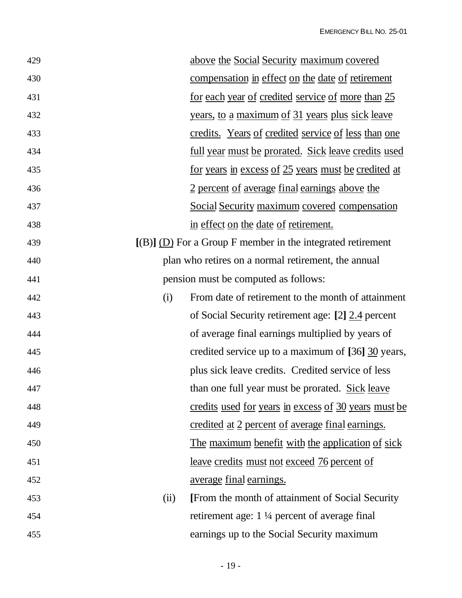| 429 | above the Social Security maximum covered                     |
|-----|---------------------------------------------------------------|
| 430 | compensation in effect on the date of retirement              |
| 431 | <u>for each year of credited service of more than 25</u>      |
| 432 | <u>years, to a maximum of 31 years plus sick leave</u>        |
| 433 | credits. Years of credited service of less than one           |
| 434 | <u>full year must be prorated. Sick leave credits used</u>    |
| 435 | <u>for years in excess of 25 years must be credited at</u>    |
| 436 | 2 percent of average final earnings above the                 |
| 437 | Social Security maximum covered compensation                  |
| 438 | in effect on the date of retirement.                          |
| 439 | $[(B)]$ (D) For a Group F member in the integrated retirement |
| 440 | plan who retires on a normal retirement, the annual           |
| 441 | pension must be computed as follows:                          |
| 442 | From date of retirement to the month of attainment<br>(i)     |
| 443 | of Social Security retirement age: [2] 2.4 percent            |
| 444 | of average final earnings multiplied by years of              |
| 445 | credited service up to a maximum of [36] 30 years,            |
| 446 | plus sick leave credits. Credited service of less             |
| 447 | than one full year must be prorated. Sick leave               |
| 448 | credits used for years in excess of 30 years must be          |
| 449 | credited at 2 percent of average final earnings.              |
| 450 | The maximum benefit with the application of sick              |
| 451 | <u>leave credits must not exceed 76 percent of</u>            |
| 452 | average final earnings.                                       |
| 453 | [From the month of attainment of Social Security<br>(ii)      |
| 454 | retirement age: $1\frac{1}{4}$ percent of average final       |
| 455 | earnings up to the Social Security maximum                    |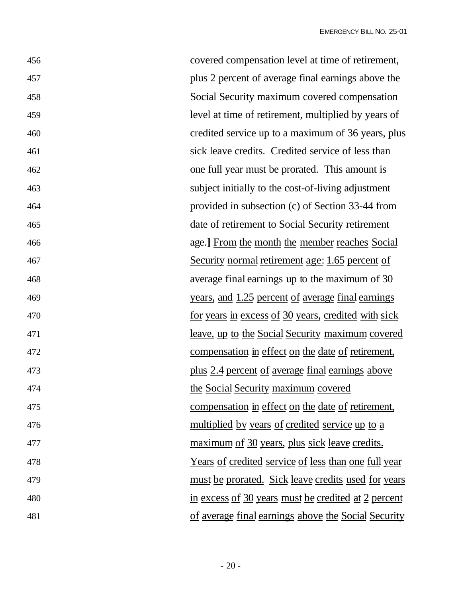| 456 | covered compensation level at time of retirement,           |
|-----|-------------------------------------------------------------|
| 457 | plus 2 percent of average final earnings above the          |
| 458 | Social Security maximum covered compensation                |
| 459 | level at time of retirement, multiplied by years of         |
| 460 | credited service up to a maximum of 36 years, plus          |
| 461 | sick leave credits. Credited service of less than           |
| 462 | one full year must be prorated. This amount is              |
| 463 | subject initially to the cost-of-living adjustment          |
| 464 | provided in subsection (c) of Section 33-44 from            |
| 465 | date of retirement to Social Security retirement            |
| 466 | age.] From the month the member reaches Social              |
| 467 | Security normal retirement age: 1.65 percent of             |
| 468 | <u>average final earnings up to the maximum of 30</u>       |
| 469 | <u>years, and 1.25 percent of average final earnings</u>    |
| 470 | for years in excess of 30 years, credited with sick         |
| 471 | <u>leave, up to the Social Security maximum covered</u>     |
| 472 | compensation in effect on the date of retirement,           |
| 473 | plus 2.4 percent of average final earnings above            |
| 474 | the Social Security maximum covered                         |
| 475 | compensation in effect on the date of retirement,           |
| 476 | <u>multiplied by years of credited service up to a</u>      |
| 477 | <u>maximum of 30 years, plus sick leave credits.</u>        |
| 478 | <u>Years of credited service of less than one full year</u> |
| 479 | <u>must be prorated. Sick leave credits used for years</u>  |
| 480 | in excess of 30 years must be credited at 2 percent         |
| 481 | of average final earnings above the Social Security         |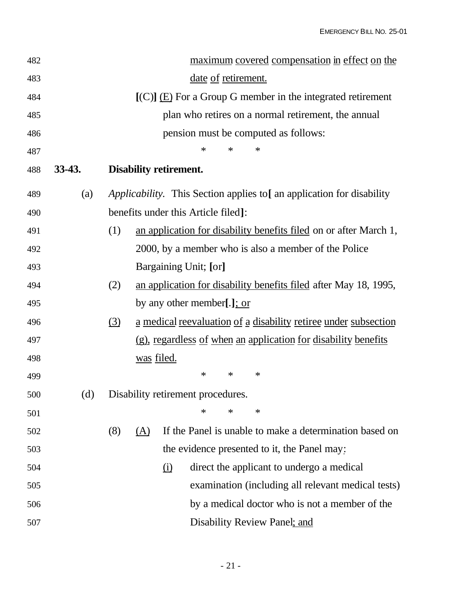| 482 |          | maximum covered compensation in effect on the                                |
|-----|----------|------------------------------------------------------------------------------|
| 483 |          | date of retirement.                                                          |
| 484 |          | $[(C)]$ (E) For a Group G member in the integrated retirement                |
| 485 |          | plan who retires on a normal retirement, the annual                          |
| 486 |          | pension must be computed as follows:                                         |
| 487 |          | ∗<br>∗<br>$\ast$                                                             |
| 488 | $33-43.$ | <b>Disability retirement.</b>                                                |
| 489 | (a)      | <i>Applicability.</i> This Section applies to [an application for disability |
| 490 |          | benefits under this Article filed]:                                          |
| 491 |          | an application for disability benefits filed on or after March 1,<br>(1)     |
| 492 |          | 2000, by a member who is also a member of the Police                         |
| 493 |          | Bargaining Unit; [or]                                                        |
| 494 |          | an application for disability benefits filed after May 18, 1995,<br>(2)      |
| 495 |          | by any other member[.]; or                                                   |
| 496 |          | (3)<br>a medical reevaluation of a disability retiree under subsection       |
| 497 |          | <u>(g), regardless of when an application for disability benefits</u>        |
| 498 |          | was filed.                                                                   |
| 499 |          | $\ast$<br>∗<br>∗                                                             |
| 500 | (d)      | Disability retirement procedures.                                            |
| 501 |          | ∗<br>∗<br>$\ast$                                                             |
| 502 |          | If the Panel is unable to make a determination based on<br>(8)<br>(A)        |
| 503 |          | the evidence presented to it, the Panel may:                                 |
| 504 |          | direct the applicant to undergo a medical<br><u>(i)</u>                      |
| 505 |          | examination (including all relevant medical tests)                           |
| 506 |          | by a medical doctor who is not a member of the                               |
| 507 |          | Disability Review Panel; and                                                 |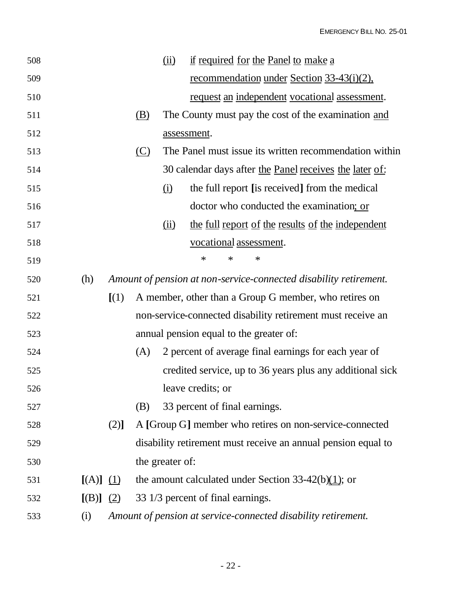| 508 |               |       |            | $\frac{\text{(ii)}}{ }$ | if required for the Panel to make a                               |
|-----|---------------|-------|------------|-------------------------|-------------------------------------------------------------------|
| 509 |               |       |            |                         | <u>recommendation</u> under Section 33-43(i)(2),                  |
| 510 |               |       |            |                         | request an independent vocational assessment.                     |
| 511 |               |       | (B)        |                         | The County must pay the cost of the examination and               |
| 512 |               |       |            |                         | assessment.                                                       |
| 513 |               |       | <u>(C)</u> |                         | The Panel must issue its written recommendation within            |
| 514 |               |       |            |                         | 30 calendar days after the Panel receives the later of:           |
| 515 |               |       |            | $\Omega$                | the full report [is received] from the medical                    |
| 516 |               |       |            |                         | doctor who conducted the examination; or                          |
| 517 |               |       |            | (ii)                    | the full report of the results of the independent                 |
| 518 |               |       |            |                         | vocational assessment.                                            |
| 519 |               |       |            |                         | $\ast$<br>∗<br>$\ast$                                             |
| 520 | (h)           |       |            |                         | Amount of pension at non-service-connected disability retirement. |
| 521 |               | [(1)] |            |                         | A member, other than a Group G member, who retires on             |
| 522 |               |       |            |                         | non-service-connected disability retirement must receive an       |
| 523 |               |       |            |                         | annual pension equal to the greater of:                           |
| 524 |               |       | (A)        |                         | 2 percent of average final earnings for each year of              |
| 525 |               |       |            |                         | credited service, up to 36 years plus any additional sick         |
| 526 |               |       |            |                         | leave credits; or                                                 |
| 527 |               |       | (B)        |                         | 33 percent of final earnings.                                     |
| 528 |               | (2)]  |            |                         | A [Group G] member who retires on non-service-connected           |
| 529 |               |       |            |                         | disability retirement must receive an annual pension equal to     |
| 530 |               |       |            | the greater of:         |                                                                   |
| 531 | $[(A)]$ $(1)$ |       |            |                         | the amount calculated under Section 33-42(b) $(1)$ ; or           |
| 532 | $[(B)]$ (2)   |       |            |                         | 33 1/3 percent of final earnings.                                 |
| 533 | (i)           |       |            |                         | Amount of pension at service-connected disability retirement.     |
|     |               |       |            |                         |                                                                   |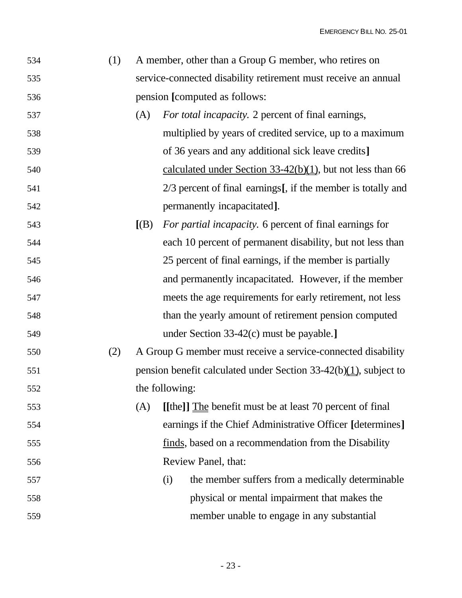| 534 | A member, other than a Group G member, who retires on          |
|-----|----------------------------------------------------------------|
| 535 | service-connected disability retirement must receive an annual |
| 536 | pension [computed as follows:                                  |

- (A) *For total incapacity.* 2 percent of final earnings, multiplied by years of credited service, up to a maximum of 36 years and any additional sick leave credits**]** 540 calculated under Section 33-42(b)(1), but not less than 66 2/3 percent of final earnings**[**, if the member is totally and permanently incapacitated**]**.
- **[**(B) *For partial incapacity.* 6 percent of final earnings for each 10 percent of permanent disability, but not less than 25 percent of final earnings, if the member is partially and permanently incapacitated. However, if the member meets the age requirements for early retirement, not less than the yearly amount of retirement pension computed under Section 33-42(c) must be payable.**]**
- (2) A Group G member must receive a service-connected disability pension benefit calculated under Section 33-42(b)(1), subject to the following:

 (A) **[[**the**]]** The benefit must be at least 70 percent of final earnings if the Chief Administrative Officer **[**determines**]** finds, based on a recommendation from the Disability Review Panel, that:

 (i) the member suffers from a medically determinable physical or mental impairment that makes the member unable to engage in any substantial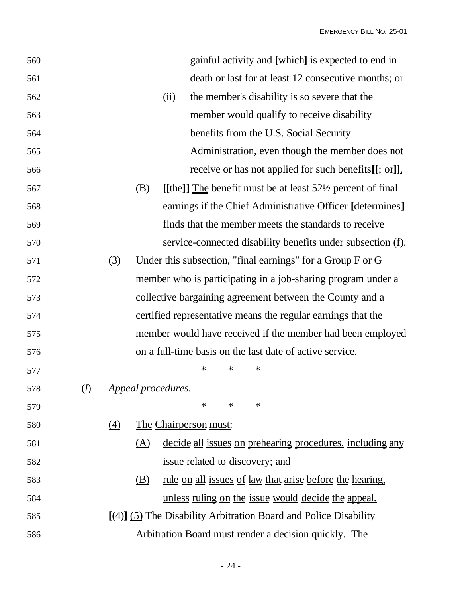EMERGENCY BILL NO. 25-01

| 560 |     |     |                    |      |                              |   | gainful activity and [which] is expected to end in                    |                                                                  |
|-----|-----|-----|--------------------|------|------------------------------|---|-----------------------------------------------------------------------|------------------------------------------------------------------|
| 561 |     |     |                    |      |                              |   |                                                                       | death or last for at least 12 consecutive months; or             |
| 562 |     |     |                    | (ii) |                              |   | the member's disability is so severe that the                         |                                                                  |
| 563 |     |     |                    |      |                              |   | member would qualify to receive disability                            |                                                                  |
| 564 |     |     |                    |      |                              |   | benefits from the U.S. Social Security                                |                                                                  |
| 565 |     |     |                    |      |                              |   |                                                                       | Administration, even though the member does not                  |
| 566 |     |     |                    |      |                              |   |                                                                       | receive or has not applied for such benefits $[[; or]]$ .        |
| 567 |     |     | (B)                |      |                              |   | [[the]] The benefit must be at least $52\frac{1}{2}$ percent of final |                                                                  |
| 568 |     |     |                    |      |                              |   |                                                                       | earnings if the Chief Administrative Officer [determines]        |
| 569 |     |     |                    |      |                              |   | finds that the member meets the standards to receive                  |                                                                  |
| 570 |     |     |                    |      |                              |   |                                                                       | service-connected disability benefits under subsection (f).      |
| 571 |     | (3) |                    |      |                              |   | Under this subsection, "final earnings" for a Group F or G            |                                                                  |
| 572 |     |     |                    |      |                              |   | member who is participating in a job-sharing program under a          |                                                                  |
| 573 |     |     |                    |      |                              |   | collective bargaining agreement between the County and a              |                                                                  |
| 574 |     |     |                    |      |                              |   | certified representative means the regular earnings that the          |                                                                  |
| 575 |     |     |                    |      |                              |   |                                                                       | member would have received if the member had been employed       |
| 576 |     |     |                    |      |                              |   | on a full-time basis on the last date of active service.              |                                                                  |
| 577 |     |     |                    |      | ∗                            | ∗ | ∗                                                                     |                                                                  |
| 578 | (l) |     | Appeal procedures. |      |                              |   |                                                                       |                                                                  |
| 579 |     |     |                    |      | ∗                            | ∗ | ∗                                                                     |                                                                  |
| 580 |     | (4) |                    |      | <u>The Chairperson must:</u> |   |                                                                       |                                                                  |
| 581 |     |     | (A)                |      |                              |   |                                                                       | <u>decide all issues on prehearing procedures, including any</u> |
| 582 |     |     |                    |      |                              |   | <u>issue related to discovery; and</u>                                |                                                                  |
| 583 |     |     | (B)                |      |                              |   | <u>rule on all issues of law that arise before the hearing,</u>       |                                                                  |
| 584 |     |     |                    |      |                              |   | <u>unless ruling on the issue would decide the appeal.</u>            |                                                                  |
| 585 |     |     |                    |      |                              |   | $[(4)]$ (5) The Disability Arbitration Board and Police Disability    |                                                                  |
| 586 |     |     |                    |      |                              |   | Arbitration Board must render a decision quickly. The                 |                                                                  |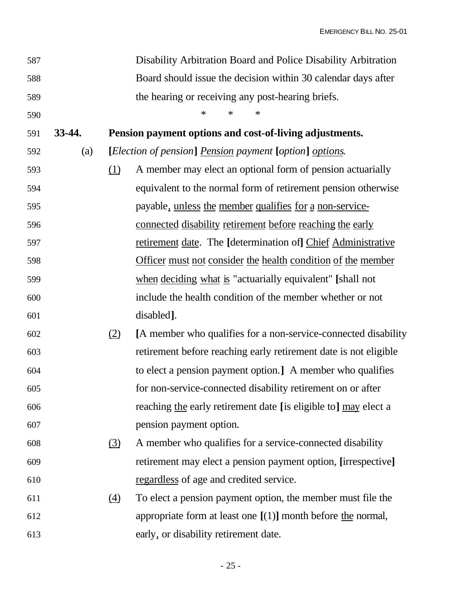| 587 |        |            | Disability Arbitration Board and Police Disability Arbitration   |
|-----|--------|------------|------------------------------------------------------------------|
| 588 |        |            | Board should issue the decision within 30 calendar days after    |
| 589 |        |            | the hearing or receiving any post-hearing briefs.                |
| 590 |        |            | ∗<br>∗<br>$\ast$                                                 |
| 591 | 33-44. |            | Pension payment options and cost-of-living adjustments.          |
| 592 | (a)    |            | [Election of pension] Pension payment [option] options.          |
| 593 |        | (1)        | A member may elect an optional form of pension actuarially       |
| 594 |        |            | equivalent to the normal form of retirement pension otherwise    |
| 595 |        |            | payable, unless the member qualifies for a non-service-          |
| 596 |        |            | connected disability retirement before reaching the early        |
| 597 |        |            | retirement date. The [determination of] Chief Administrative     |
| 598 |        |            | Officer must not consider the health condition of the member     |
| 599 |        |            | when deciding what is "actuarially equivalent" [shall not        |
| 600 |        |            | include the health condition of the member whether or not        |
| 601 |        |            | disabled.                                                        |
| 602 |        | (2)        | [A member who qualifies for a non-service-connected disability   |
| 603 |        |            | retirement before reaching early retirement date is not eligible |
| 604 |        |            | to elect a pension payment option.] A member who qualifies       |
| 605 |        |            | for non-service-connected disability retirement on or after      |
| 606 |        |            | reaching the early retirement date [is eligible to] may elect a  |
| 607 |        |            | pension payment option.                                          |
| 608 |        | <u>(3)</u> | A member who qualifies for a service-connected disability        |
| 609 |        |            | retirement may elect a pension payment option, [irrespective]    |
| 610 |        |            | regardless of age and credited service.                          |
| 611 |        | (4)        | To elect a pension payment option, the member must file the      |
| 612 |        |            | appropriate form at least one $[(1)]$ month before the normal,   |
| 613 |        |            | early, or disability retirement date.                            |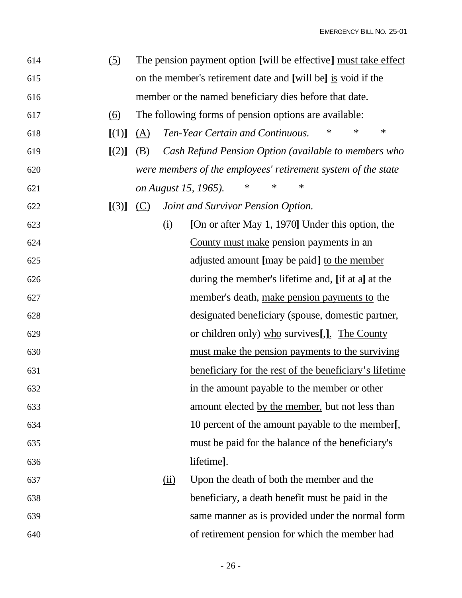| 614 | (5)   |                                                              |                            | The pension payment option [will be effective] must take effect |  |  |  |
|-----|-------|--------------------------------------------------------------|----------------------------|-----------------------------------------------------------------|--|--|--|
| 615 |       | on the member's retirement date and [will be] is void if the |                            |                                                                 |  |  |  |
| 616 |       | member or the named beneficiary dies before that date.       |                            |                                                                 |  |  |  |
| 617 | (6)   |                                                              |                            | The following forms of pension options are available:           |  |  |  |
| 618 | [(1)] | (A)                                                          |                            | $\ast$<br>$\ast$<br>Ten-Year Certain and Continuous.<br>$\ast$  |  |  |  |
| 619 | [(2)] | (B)                                                          |                            | Cash Refund Pension Option (available to members who            |  |  |  |
| 620 |       |                                                              |                            | were members of the employees' retirement system of the state   |  |  |  |
| 621 |       |                                                              |                            | $\ast$<br>∗<br>∗<br>on August 15, 1965).                        |  |  |  |
| 622 | [(3)] | (C)                                                          |                            | Joint and Survivor Pension Option.                              |  |  |  |
| 623 |       |                                                              | $\Omega$                   | [On or after May 1, 1970] Under this option, the                |  |  |  |
| 624 |       |                                                              |                            | County must make pension payments in an                         |  |  |  |
| 625 |       |                                                              |                            | adjusted amount [may be paid] to the member                     |  |  |  |
| 626 |       |                                                              |                            | during the member's lifetime and, [if at a] at the              |  |  |  |
| 627 |       |                                                              |                            | member's death, make pension payments to the                    |  |  |  |
| 628 |       |                                                              |                            | designated beneficiary (spouse, domestic partner,               |  |  |  |
| 629 |       |                                                              |                            | or children only) who survives [, <u>]</u> . The County         |  |  |  |
| 630 |       |                                                              |                            | must make the pension payments to the surviving                 |  |  |  |
| 631 |       |                                                              |                            | beneficiary for the rest of the beneficiary's lifetime          |  |  |  |
| 632 |       |                                                              |                            | in the amount payable to the member or other                    |  |  |  |
| 633 |       |                                                              |                            | amount elected by the member, but not less than                 |  |  |  |
| 634 |       |                                                              |                            | 10 percent of the amount payable to the member[,                |  |  |  |
| 635 |       |                                                              |                            | must be paid for the balance of the beneficiary's               |  |  |  |
| 636 |       |                                                              |                            | lifetime].                                                      |  |  |  |
| 637 |       |                                                              | $\overline{(\mathbf{ii})}$ | Upon the death of both the member and the                       |  |  |  |
| 638 |       |                                                              |                            | beneficiary, a death benefit must be paid in the                |  |  |  |
| 639 |       |                                                              |                            | same manner as is provided under the normal form                |  |  |  |
| 640 |       |                                                              |                            | of retirement pension for which the member had                  |  |  |  |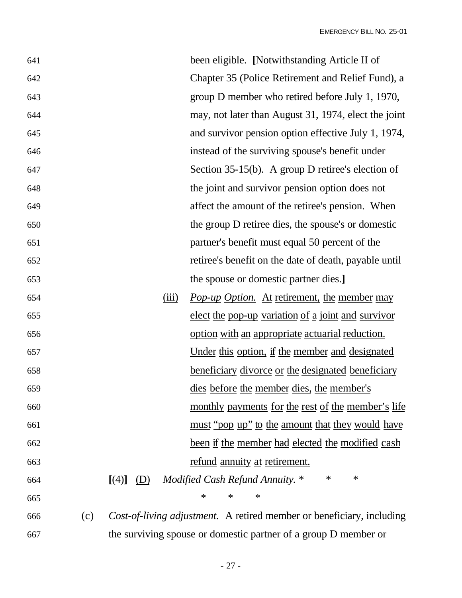| 641 |     | been eligible. [Notwithstanding Article II of                                |
|-----|-----|------------------------------------------------------------------------------|
| 642 |     | Chapter 35 (Police Retirement and Relief Fund), a                            |
| 643 |     | group D member who retired before July 1, 1970,                              |
| 644 |     | may, not later than August 31, 1974, elect the joint                         |
| 645 |     | and survivor pension option effective July 1, 1974,                          |
| 646 |     | instead of the surviving spouse's benefit under                              |
| 647 |     | Section $35-15(b)$ . A group D retiree's election of                         |
| 648 |     | the joint and survivor pension option does not                               |
| 649 |     | affect the amount of the retiree's pension. When                             |
| 650 |     | the group D retiree dies, the spouse's or domestic                           |
| 651 |     | partner's benefit must equal 50 percent of the                               |
| 652 |     | retiree's benefit on the date of death, payable until                        |
| 653 |     | the spouse or domestic partner dies.]                                        |
| 654 |     | Pop-up Option. At retirement, the member may<br>(iii)                        |
| 655 |     | elect the pop-up variation of a joint and survivor                           |
| 656 |     | option with an appropriate actuarial reduction.                              |
| 657 |     | <u>Under this option, if the member and designated</u>                       |
| 658 |     | beneficiary divorce or the designated beneficiary                            |
| 659 |     | dies before the member dies, the member's                                    |
| 660 |     | monthly payments for the rest of the member's life                           |
| 661 |     | <u>must "pop up" to the amount that they would have</u>                      |
| 662 |     | <u>been if the member had elected the modified cash</u>                      |
| 663 |     | refund annuity at retirement.                                                |
| 664 |     | $\ast$<br>∗<br>Modified Cash Refund Annuity. *<br>$[(4)]$ $(D)$              |
| 665 |     | ∗<br>∗<br>∗                                                                  |
| 666 | (c) | <i>Cost-of-living adjustment.</i> A retired member or beneficiary, including |
| 667 |     | the surviving spouse or domestic partner of a group D member or              |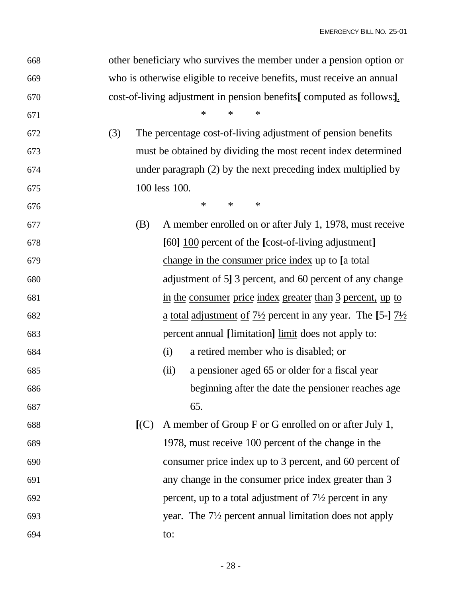| 668 | other beneficiary who survives the member under a pension option or   |                                                                                   |  |  |  |  |
|-----|-----------------------------------------------------------------------|-----------------------------------------------------------------------------------|--|--|--|--|
| 669 | who is otherwise eligible to receive benefits, must receive an annual |                                                                                   |  |  |  |  |
| 670 | cost-of-living adjustment in pension benefits [computed as follows:]. |                                                                                   |  |  |  |  |
| 671 |                                                                       | $\ast$<br>$\ast$<br>∗                                                             |  |  |  |  |
| 672 | (3)                                                                   | The percentage cost-of-living adjustment of pension benefits                      |  |  |  |  |
| 673 |                                                                       | must be obtained by dividing the most recent index determined                     |  |  |  |  |
| 674 |                                                                       | under paragraph (2) by the next preceding index multiplied by                     |  |  |  |  |
| 675 |                                                                       | 100 less 100.                                                                     |  |  |  |  |
| 676 |                                                                       | $\ast$<br>$\ast$<br>$\ast$                                                        |  |  |  |  |
| 677 | (B)                                                                   | A member enrolled on or after July 1, 1978, must receive                          |  |  |  |  |
| 678 |                                                                       | [60] 100 percent of the [cost-of-living adjustment]                               |  |  |  |  |
| 679 |                                                                       | change in the consumer price index up to [a total]                                |  |  |  |  |
| 680 |                                                                       | adjustment of 5] 3 percent, and 60 percent of any change                          |  |  |  |  |
| 681 |                                                                       | in the consumer price index greater than 3 percent, up to                         |  |  |  |  |
| 682 |                                                                       | a total adjustment of $7\frac{1}{2}$ percent in any year. The [5-] $7\frac{1}{2}$ |  |  |  |  |
| 683 |                                                                       | percent annual [limitation] limit does not apply to:                              |  |  |  |  |
| 684 |                                                                       | a retired member who is disabled; or<br>(i)                                       |  |  |  |  |
| 685 |                                                                       | a pensioner aged 65 or older for a fiscal year<br>(ii)                            |  |  |  |  |
| 686 |                                                                       | beginning after the date the pensioner reaches age                                |  |  |  |  |
| 687 |                                                                       | 65.                                                                               |  |  |  |  |
| 688 | [(C)]                                                                 | A member of Group F or G enrolled on or after July 1,                             |  |  |  |  |
| 689 |                                                                       | 1978, must receive 100 percent of the change in the                               |  |  |  |  |
| 690 |                                                                       | consumer price index up to 3 percent, and 60 percent of                           |  |  |  |  |
| 691 |                                                                       | any change in the consumer price index greater than 3                             |  |  |  |  |
| 692 |                                                                       | percent, up to a total adjustment of $7\frac{1}{2}$ percent in any                |  |  |  |  |
| 693 |                                                                       | year. The 7 <sup>1</sup> / <sub>2</sub> percent annual limitation does not apply  |  |  |  |  |
| 694 |                                                                       | to:                                                                               |  |  |  |  |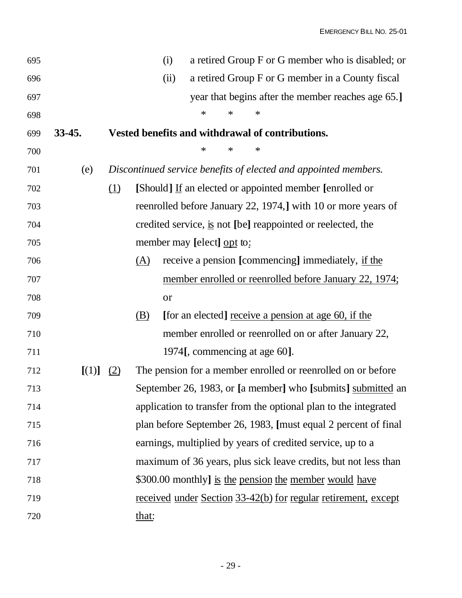| 695 |          |     |            | (i)  |                               |        |   | a retired Group F or G member who is disabled; or                                |
|-----|----------|-----|------------|------|-------------------------------|--------|---|----------------------------------------------------------------------------------|
| 696 |          |     |            | (ii) |                               |        |   | a retired Group F or G member in a County fiscal                                 |
| 697 |          |     |            |      |                               |        |   | year that begins after the member reaches age 65.]                               |
| 698 |          |     |            |      | $\ast$                        | $\ast$ | ∗ |                                                                                  |
| 699 | $33-45.$ |     |            |      |                               |        |   | Vested benefits and withdrawal of contributions.                                 |
| 700 |          |     |            |      | ∗                             | ∗      | ∗ |                                                                                  |
| 701 | (e)      |     |            |      |                               |        |   | Discontinued service benefits of elected and appointed members.                  |
| 702 |          | (1) |            |      |                               |        |   | [Should] If an elected or appointed member [enrolled or                          |
| 703 |          |     |            |      |                               |        |   | reenrolled before January 22, 1974,] with 10 or more years of                    |
| 704 |          |     |            |      |                               |        |   | credited service, $\underline{\text{is}}$ not [be] reappointed or reelected, the |
| 705 |          |     |            |      | member may [elect] opt to:    |        |   |                                                                                  |
| 706 |          |     | <u>(A)</u> |      |                               |        |   | receive a pension [commencing] immediately, if the                               |
| 707 |          |     |            |      |                               |        |   | member enrolled or reenrolled before January 22, 1974;                           |
| 708 |          |     |            | or   |                               |        |   |                                                                                  |
| 709 |          |     | <u>(B)</u> |      |                               |        |   | [for an elected] receive a pension at age 60, if the                             |
| 710 |          |     |            |      |                               |        |   | member enrolled or reenrolled on or after January 22,                            |
| 711 |          |     |            |      | 1974[, commencing at age 60]. |        |   |                                                                                  |
| 712 | [(1)]    | (2) |            |      |                               |        |   | The pension for a member enrolled or reenrolled on or before                     |
| 713 |          |     |            |      |                               |        |   | September 26, 1983, or [a member] who [submits] submitted an                     |
| 714 |          |     |            |      |                               |        |   | application to transfer from the optional plan to the integrated                 |
| 715 |          |     |            |      |                               |        |   | plan before September 26, 1983, [must equal 2 percent of final                   |
| 716 |          |     |            |      |                               |        |   | earnings, multiplied by years of credited service, up to a                       |
| 717 |          |     |            |      |                               |        |   | maximum of 36 years, plus sick leave credits, but not less than                  |
| 718 |          |     |            |      |                               |        |   | \$300.00 monthly] is the pension the member would have                           |
| 719 |          |     |            |      |                               |        |   | <u>received under Section 33-42(b) for regular retirement, except</u>            |
| 720 |          |     | that:      |      |                               |        |   |                                                                                  |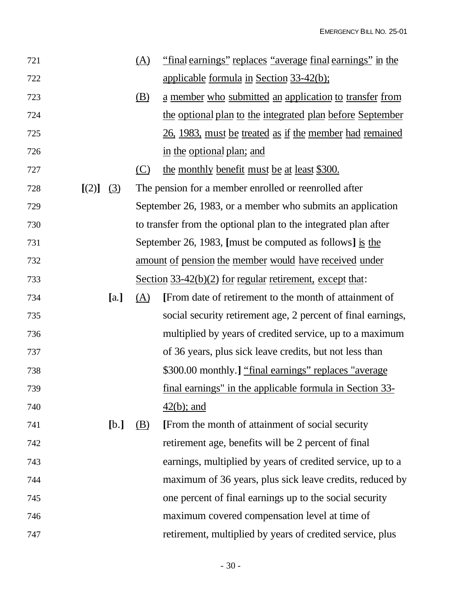| 721 |           |      | <u>(A)</u> | "final earnings" replaces "average final earnings" in the       |
|-----|-----------|------|------------|-----------------------------------------------------------------|
| 722 |           |      |            | applicable formula in Section 33-42(b);                         |
| 723 |           |      | <u>(B)</u> | a member who submitted an application to transfer from          |
| 724 |           |      |            | the optional plan to the integrated plan before September       |
| 725 |           |      |            | 26, 1983, must be treated as if the member had remained         |
| 726 |           |      |            | in the optional plan; and                                       |
| 727 |           |      | <u>(C)</u> | the monthly benefit must be at least \$300.                     |
| 728 | [(2)] (3) |      |            | The pension for a member enrolled or reenrolled after           |
| 729 |           |      |            | September 26, 1983, or a member who submits an application      |
| 730 |           |      |            | to transfer from the optional plan to the integrated plan after |
| 731 |           |      |            | September 26, 1983, [must be computed as follows] is the        |
| 732 |           |      |            | amount of pension the member would have received under          |
| 733 |           |      |            | Section 33-42(b)(2) for regular retirement, except that:        |
| 734 |           | [a.] | <u>(A)</u> | [From date of retirement to the month of attainment of          |
| 735 |           |      |            | social security retirement age, 2 percent of final earnings,    |
| 736 |           |      |            | multiplied by years of credited service, up to a maximum        |
| 737 |           |      |            | of 36 years, plus sick leave credits, but not less than         |
| 738 |           |      |            | \$300.00 monthly.] "final earnings" replaces "average           |
| 739 |           |      |            | final earnings" in the applicable formula in Section 33-        |
| 740 |           |      |            | $42(b)$ ; and                                                   |
| 741 |           | [b.] | (B)        | [From the month of attainment of social security                |
| 742 |           |      |            | retirement age, benefits will be 2 percent of final             |
| 743 |           |      |            | earnings, multiplied by years of credited service, up to a      |
| 744 |           |      |            | maximum of 36 years, plus sick leave credits, reduced by        |
| 745 |           |      |            | one percent of final earnings up to the social security         |
| 746 |           |      |            | maximum covered compensation level at time of                   |
| 747 |           |      |            | retirement, multiplied by years of credited service, plus       |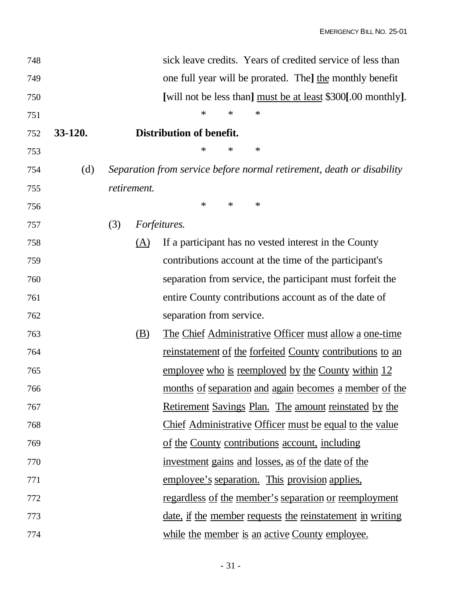| 748 |                                                              |     |             | sick leave credits. Years of credited service of less than            |  |  |  |  |
|-----|--------------------------------------------------------------|-----|-------------|-----------------------------------------------------------------------|--|--|--|--|
| 749 | one full year will be prorated. The the monthly benefit      |     |             |                                                                       |  |  |  |  |
| 750 | [will not be less than] must be at least \$300[.00 monthly]. |     |             |                                                                       |  |  |  |  |
| 751 |                                                              |     |             | $\ast$<br>∗<br>∗                                                      |  |  |  |  |
| 752 | 33-120.                                                      |     |             | Distribution of benefit.                                              |  |  |  |  |
| 753 |                                                              |     |             | $\ast$<br>∗<br>∗                                                      |  |  |  |  |
| 754 | (d)                                                          |     |             | Separation from service before normal retirement, death or disability |  |  |  |  |
| 755 |                                                              |     | retirement. |                                                                       |  |  |  |  |
| 756 |                                                              |     |             | $\ast$<br>∗<br>∗                                                      |  |  |  |  |
| 757 |                                                              | (3) |             | Forfeitures.                                                          |  |  |  |  |
| 758 |                                                              |     | (A)         | If a participant has no vested interest in the County                 |  |  |  |  |
| 759 |                                                              |     |             | contributions account at the time of the participant's                |  |  |  |  |
| 760 |                                                              |     |             | separation from service, the participant must forfeit the             |  |  |  |  |
| 761 |                                                              |     |             | entire County contributions account as of the date of                 |  |  |  |  |
| 762 |                                                              |     |             | separation from service.                                              |  |  |  |  |
| 763 |                                                              |     | (B)         | <u>The Chief Administrative Officer must allow a one-time</u>         |  |  |  |  |
| 764 |                                                              |     |             | reinstatement of the forfeited County contributions to an             |  |  |  |  |
| 765 |                                                              |     |             | employee who is reemployed by the County within 12                    |  |  |  |  |
| 766 |                                                              |     |             | months of separation and again becomes a member of the                |  |  |  |  |
| 767 |                                                              |     |             | <u>Retirement Savings Plan. The amount reinstated by the</u>          |  |  |  |  |
| 768 |                                                              |     |             | Chief Administrative Officer must be equal to the value               |  |  |  |  |
| 769 |                                                              |     |             | of the County contributions account, including                        |  |  |  |  |
| 770 |                                                              |     |             | investment gains and losses, as of the date of the                    |  |  |  |  |
| 771 |                                                              |     |             | employee's separation. This provision applies,                        |  |  |  |  |
| 772 |                                                              |     |             | <u>regardless of the member's separation or reemployment</u>          |  |  |  |  |
| 773 |                                                              |     |             | <u>date, if the member requests the reinstatement in writing</u>      |  |  |  |  |
| 774 |                                                              |     |             | while the member is an active County employee.                        |  |  |  |  |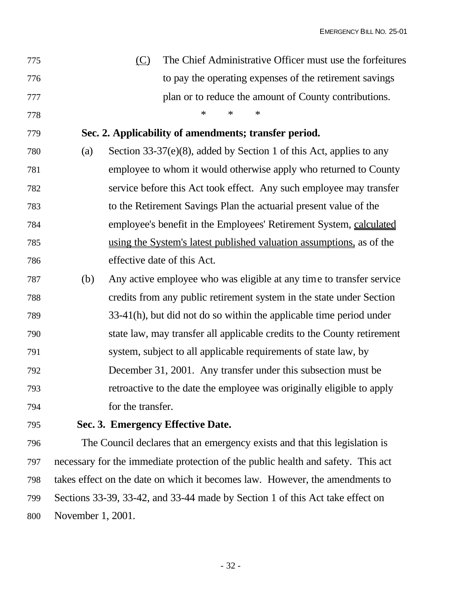| 775 |     | The Chief Administrative Officer must use the forfeitures<br>(C)           |
|-----|-----|----------------------------------------------------------------------------|
| 776 |     | to pay the operating expenses of the retirement savings                    |
| 777 |     | plan or to reduce the amount of County contributions.                      |
| 778 |     | $\ast$<br>∗<br>$\ast$                                                      |
| 779 |     | Sec. 2. Applicability of amendments; transfer period.                      |
| 780 | (a) | Section $33-37(e)(8)$ , added by Section 1 of this Act, applies to any     |
| 781 |     | employee to whom it would otherwise apply who returned to County           |
| 782 |     | service before this Act took effect. Any such employee may transfer        |
| 783 |     | to the Retirement Savings Plan the actuarial present value of the          |
| 784 |     | employee's benefit in the Employees' Retirement System, calculated         |
| 785 |     | using the System's latest published valuation assumptions, as of the       |
| 786 |     | effective date of this Act.                                                |
| 787 | (b) | Any active employee who was eligible at any time to transfer service       |
| 788 |     | credits from any public retirement system in the state under Section       |
| 789 |     | 33-41(h), but did not do so within the applicable time period under        |
| 790 |     | state law, may transfer all applicable credits to the County retirement    |
| 791 |     | system, subject to all applicable requirements of state law, by            |
| 792 |     | December 31, 2001. Any transfer under this subsection must be              |
| 793 |     | retroactive to the date the employee was originally eligible to apply      |
| 794 |     | for the transfer.                                                          |
| 795 |     | Sec. 3. Emergency Effective Date.                                          |
| 796 |     | The Council declares that an emergency exists and that this legislation is |

 necessary for the immediate protection of the public health and safety. This act takes effect on the date on which it becomes law. However, the amendments to Sections 33-39, 33-42, and 33-44 made by Section 1 of this Act take effect on November 1, 2001.